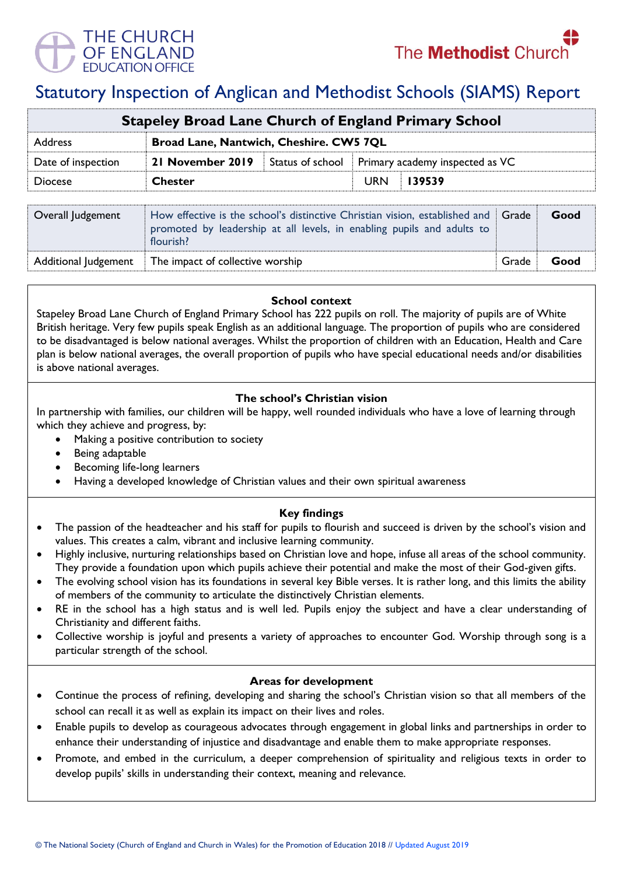

# Statutory Inspection of Anglican and Methodist Schools (SIAMS) Report

| <b>Stapeley Broad Lane Church of England Primary School</b>                                                                                                                             |                                         |                  |                                 |        |       |      |  |
|-----------------------------------------------------------------------------------------------------------------------------------------------------------------------------------------|-----------------------------------------|------------------|---------------------------------|--------|-------|------|--|
| Address                                                                                                                                                                                 | Broad Lane, Nantwich, Cheshire. CW5 7QL |                  |                                 |        |       |      |  |
| Date of inspection                                                                                                                                                                      | 21 November 2019                        | Status of school | Primary academy inspected as VC |        |       |      |  |
| <b>Diocese</b>                                                                                                                                                                          | <b>Chester</b>                          |                  | <b>URN</b>                      | 139539 |       |      |  |
| How effective is the school's distinctive Christian vision, established and<br>Overall Judgement<br>promoted by leadership at all levels, in enabling pupils and adults to<br>flourish? |                                         |                  |                                 |        | Grade | Good |  |

#### **School context**

Additional Judgement The impact of collective worship **Grade Coollective Server Additional Server Additional** Grade Good

Stapeley Broad Lane Church of England Primary School has 222 pupils on roll. The majority of pupils are of White British heritage. Very few pupils speak English as an additional language. The proportion of pupils who are considered to be disadvantaged is below national averages. Whilst the proportion of children with an Education, Health and Care plan is below national averages, the overall proportion of pupils who have special educational needs and/or disabilities is above national averages.

# **The school's Christian vision**

In partnership with families, our children will be happy, well rounded individuals who have a love of learning through which they achieve and progress, by:

- Making a positive contribution to society
- Being adaptable
- Becoming life-long learners
- Having a developed knowledge of Christian values and their own spiritual awareness

## **Key findings**

- The passion of the headteacher and his staff for pupils to flourish and succeed is driven by the school's vision and values. This creates a calm, vibrant and inclusive learning community.
- Highly inclusive, nurturing relationships based on Christian love and hope, infuse all areas of the school community. They provide a foundation upon which pupils achieve their potential and make the most of their God-given gifts.
- The evolving school vision has its foundations in several key Bible verses. It is rather long, and this limits the ability of members of the community to articulate the distinctively Christian elements.
- RE in the school has a high status and is well led. Pupils enjoy the subject and have a clear understanding of Christianity and different faiths.
- Collective worship is joyful and presents a variety of approaches to encounter God. Worship through song is a particular strength of the school.

#### **Areas for development**

- Continue the process of refining, developing and sharing the school's Christian vision so that all members of the school can recall it as well as explain its impact on their lives and roles.
- Enable pupils to develop as courageous advocates through engagement in global links and partnerships in order to enhance their understanding of injustice and disadvantage and enable them to make appropriate responses.
- Promote, and embed in the curriculum, a deeper comprehension of spirituality and religious texts in order to develop pupils' skills in understanding their context, meaning and relevance.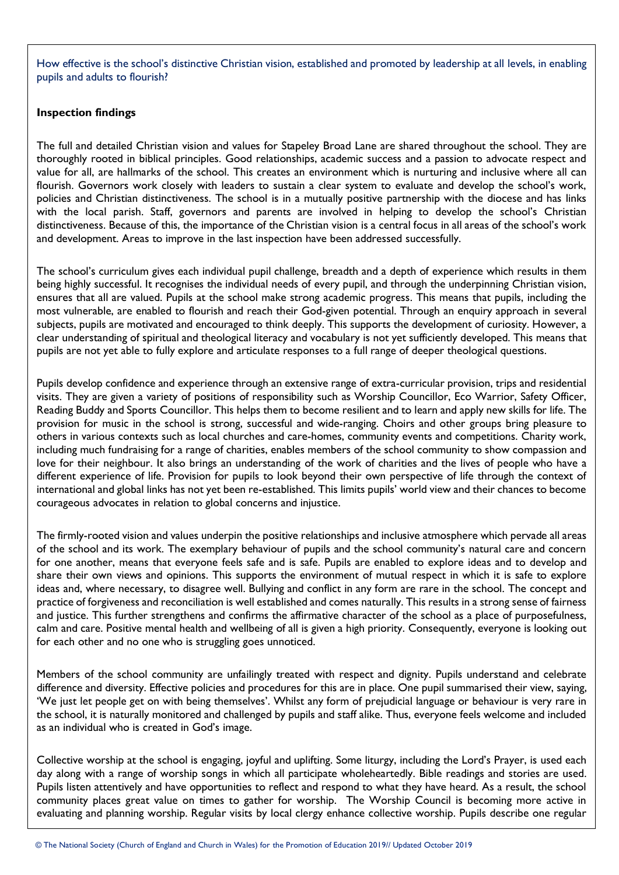How effective is the school's distinctive Christian vision, established and promoted by leadership at all levels, in enabling pupils and adults to flourish?

### **Inspection findings**

The full and detailed Christian vision and values for Stapeley Broad Lane are shared throughout the school. They are thoroughly rooted in biblical principles. Good relationships, academic success and a passion to advocate respect and value for all, are hallmarks of the school. This creates an environment which is nurturing and inclusive where all can flourish. Governors work closely with leaders to sustain a clear system to evaluate and develop the school's work, policies and Christian distinctiveness. The school is in a mutually positive partnership with the diocese and has links with the local parish. Staff, governors and parents are involved in helping to develop the school's Christian distinctiveness. Because of this, the importance of the Christian vision is a central focus in all areas of the school's work and development. Areas to improve in the last inspection have been addressed successfully.

The school's curriculum gives each individual pupil challenge, breadth and a depth of experience which results in them being highly successful. It recognises the individual needs of every pupil, and through the underpinning Christian vision, ensures that all are valued. Pupils at the school make strong academic progress. This means that pupils, including the most vulnerable, are enabled to flourish and reach their God-given potential. Through an enquiry approach in several subjects, pupils are motivated and encouraged to think deeply. This supports the development of curiosity. However, a clear understanding of spiritual and theological literacy and vocabulary is not yet sufficiently developed. This means that pupils are not yet able to fully explore and articulate responses to a full range of deeper theological questions.

Pupils develop confidence and experience through an extensive range of extra-curricular provision, trips and residential visits. They are given a variety of positions of responsibility such as Worship Councillor, Eco Warrior, Safety Officer, Reading Buddy and Sports Councillor. This helps them to become resilient and to learn and apply new skills for life. The provision for music in the school is strong, successful and wide-ranging. Choirs and other groups bring pleasure to others in various contexts such as local churches and care-homes, community events and competitions. Charity work, including much fundraising for a range of charities, enables members of the school community to show compassion and love for their neighbour. It also brings an understanding of the work of charities and the lives of people who have a different experience of life. Provision for pupils to look beyond their own perspective of life through the context of international and global links has not yet been re-established. This limits pupils' world view and their chances to become courageous advocates in relation to global concerns and injustice.

The firmly-rooted vision and values underpin the positive relationships and inclusive atmosphere which pervade all areas of the school and its work. The exemplary behaviour of pupils and the school community's natural care and concern for one another, means that everyone feels safe and is safe. Pupils are enabled to explore ideas and to develop and share their own views and opinions. This supports the environment of mutual respect in which it is safe to explore ideas and, where necessary, to disagree well. Bullying and conflict in any form are rare in the school. The concept and practice of forgiveness and reconciliation is well established and comes naturally. This results in a strong sense of fairness and justice. This further strengthens and confirms the affirmative character of the school as a place of purposefulness, calm and care. Positive mental health and wellbeing of all is given a high priority. Consequently, everyone is looking out for each other and no one who is struggling goes unnoticed.

Members of the school community are unfailingly treated with respect and dignity. Pupils understand and celebrate difference and diversity. Effective policies and procedures for this are in place. One pupil summarised their view, saying, 'We just let people get on with being themselves'. Whilst any form of prejudicial language or behaviour is very rare in the school, it is naturally monitored and challenged by pupils and staff alike. Thus, everyone feels welcome and included as an individual who is created in God's image.

Collective worship at the school is engaging, joyful and uplifting. Some liturgy, including the Lord's Prayer, is used each day along with a range of worship songs in which all participate wholeheartedly. Bible readings and stories are used. Pupils listen attentively and have opportunities to reflect and respond to what they have heard. As a result, the school community places great value on times to gather for worship. The Worship Council is becoming more active in evaluating and planning worship. Regular visits by local clergy enhance collective worship. Pupils describe one regular